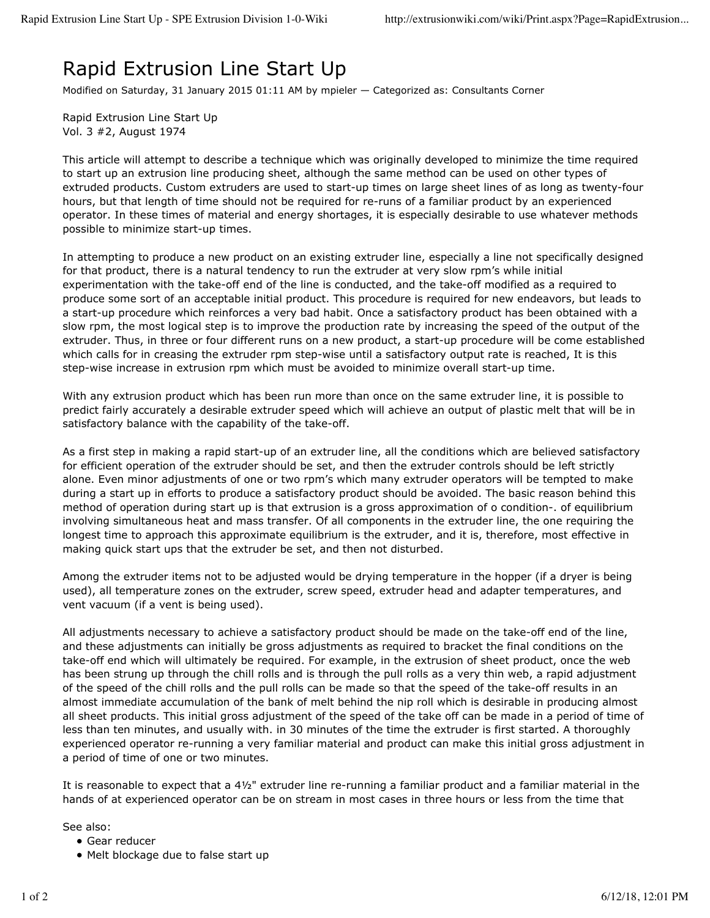## Rapid Extrusion Line Start Up

Modified on Saturday, 31 January 2015 01:11 AM by mpieler — Categorized as: Consultants Corner

Rapid Extrusion Line Start Up Vol. 3 #2, August 1974

This article will attempt to describe a technique which was originally developed to minimize the time required to start up an extrusion line producing sheet, although the same method can be used on other types of extruded products. Custom extruders are used to start-up times on large sheet lines of as long as twenty-four hours, but that length of time should not be required for re-runs of a familiar product by an experienced operator. In these times of material and energy shortages, it is especially desirable to use whatever methods possible to minimize start-up times.

In attempting to produce a new product on an existing extruder line, especially a line not specifically designed for that product, there is a natural tendency to run the extruder at very slow rpm's while initial experimentation with the take-off end of the line is conducted, and the take-off modified as a required to produce some sort of an acceptable initial product. This procedure is required for new endeavors, but leads to a start-up procedure which reinforces a very bad habit. Once a satisfactory product has been obtained with a slow rpm, the most logical step is to improve the production rate by increasing the speed of the output of the extruder. Thus, in three or four different runs on a new product, a start-up procedure will be come established which calls for in creasing the extruder rpm step-wise until a satisfactory output rate is reached, It is this step-wise increase in extrusion rpm which must be avoided to minimize overall start-up time.

With any extrusion product which has been run more than once on the same extruder line, it is possible to predict fairly accurately a desirable extruder speed which will achieve an output of plastic melt that will be in satisfactory balance with the capability of the take-off.

As a first step in making a rapid start-up of an extruder line, all the conditions which are believed satisfactory for efficient operation of the extruder should be set, and then the extruder controls should be left strictly alone. Even minor adjustments of one or two rpm's which many extruder operators will be tempted to make during a start up in efforts to produce a satisfactory product should be avoided. The basic reason behind this method of operation during start up is that extrusion is a gross approximation of o condition-. of equilibrium involving simultaneous heat and mass transfer. Of all components in the extruder line, the one requiring the longest time to approach this approximate equilibrium is the extruder, and it is, therefore, most effective in making quick start ups that the extruder be set, and then not disturbed.

Among the extruder items not to be adjusted would be drying temperature in the hopper (if a dryer is being used), all temperature zones on the extruder, screw speed, extruder head and adapter temperatures, and vent vacuum (if a vent is being used).

All adjustments necessary to achieve a satisfactory product should be made on the take-off end of the line, and these adjustments can initially be gross adjustments as required to bracket the final conditions on the take-off end which will ultimately be required. For example, in the extrusion of sheet product, once the web has been strung up through the chill rolls and is through the pull rolls as a very thin web, a rapid adjustment of the speed of the chill rolls and the pull rolls can be made so that the speed of the take-off results in an almost immediate accumulation of the bank of melt behind the nip roll which is desirable in producing almost all sheet products. This initial gross adjustment of the speed of the take off can be made in a period of time of less than ten minutes, and usually with. in 30 minutes of the time the extruder is first started. A thoroughly experienced operator re-running a very familiar material and product can make this initial gross adjustment in a period of time of one or two minutes.

It is reasonable to expect that a 4½" extruder line re-running a familiar product and a familiar material in the hands of at experienced operator can be on stream in most cases in three hours or less from the time that

See also:

- Gear reducer
- Melt blockage due to false start up